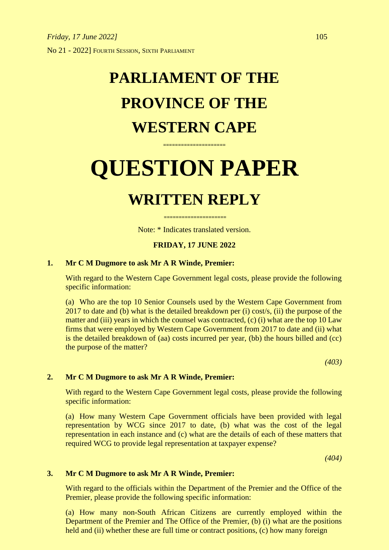## **PARLIAMENT OF THE PROVINCE OF THE WESTERN CAPE**

# **QUESTION PAPER**

**=====================**

### **WRITTEN REPLY**

Note: \* Indicates translated version.

**=====================**

#### **FRIDAY, 17 JUNE 2022**

#### **1. Mr C M Dugmore to ask Mr A R Winde, Premier:**

With regard to the Western Cape Government legal costs, please provide the following specific information:

(a) Who are the top 10 Senior Counsels used by the Western Cape Government from 2017 to date and (b) what is the detailed breakdown per (i) cost/s, (ii) the purpose of the matter and (iii) years in which the counsel was contracted, (c) (i) what are the top 10 Law firms that were employed by Western Cape Government from 2017 to date and (ii) what is the detailed breakdown of (aa) costs incurred per year, (bb) the hours billed and (cc) the purpose of the matter?

*(403)*

#### **2. Mr C M Dugmore to ask Mr A R Winde, Premier:**

With regard to the Western Cape Government legal costs, please provide the following specific information:

(a) How many Western Cape Government officials have been provided with legal representation by WCG since 2017 to date, (b) what was the cost of the legal representation in each instance and (c) what are the details of each of these matters that required WCG to provide legal representation at taxpayer expense?

*(404)*

#### **3. Mr C M Dugmore to ask Mr A R Winde, Premier:**

With regard to the officials within the Department of the Premier and the Office of the Premier, please provide the following specific information:

(a) How many non-South African Citizens are currently employed within the Department of the Premier and The Office of the Premier, (b) (i) what are the positions held and (ii) whether these are full time or contract positions, (c) how many foreign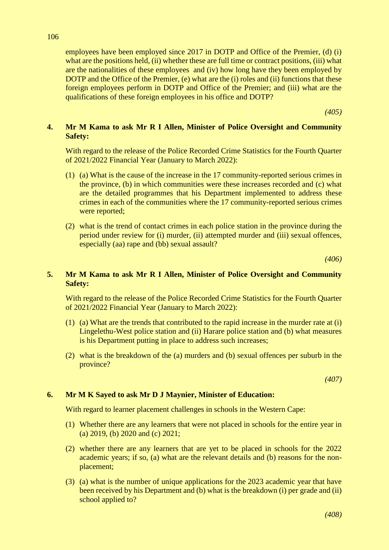106

employees have been employed since 2017 in DOTP and Office of the Premier, (d) (i) what are the positions held, (ii) whether these are full time or contract positions, (iii) what are the nationalities of these employees and (iv) how long have they been employed by DOTP and the Office of the Premier, (e) what are the (i) roles and (ii) functions that these foreign employees perform in DOTP and Office of the Premier; and (iii) what are the qualifications of these foreign employees in his office and DOTP?

*(405)*

#### **4. Mr M Kama to ask Mr R I Allen, Minister of Police Oversight and Community Safety:**

With regard to the release of the Police Recorded Crime Statistics for the Fourth Quarter of 2021/2022 Financial Year (January to March 2022):

- (1) (a) What is the cause of the increase in the 17 community-reported serious crimes in the province, (b) in which communities were these increases recorded and (c) what are the detailed programmes that his Department implemented to address these crimes in each of the communities where the 17 community-reported serious crimes were reported;
- (2) what is the trend of contact crimes in each police station in the province during the period under review for (i) murder, (ii) attempted murder and (iii) sexual offences, especially (aa) rape and (bb) sexual assault?

*(406)*

#### **5. Mr M Kama to ask Mr R I Allen, Minister of Police Oversight and Community Safety:**

With regard to the release of the Police Recorded Crime Statistics for the Fourth Quarter of 2021/2022 Financial Year (January to March 2022):

- (1) (a) What are the trends that contributed to the rapid increase in the murder rate at (i) Lingelethu-West police station and (ii) Harare police station and (b) what measures is his Department putting in place to address such increases;
- (2) what is the breakdown of the (a) murders and (b) sexual offences per suburb in the province?

*(407)*

#### **6. Mr M K Sayed to ask Mr D J Maynier, Minister of Education:**

With regard to learner placement challenges in schools in the Western Cape:

- (1) Whether there are any learners that were not placed in schools for the entire year in (a) 2019, (b) 2020 and (c) 2021;
- (2) whether there are any learners that are yet to be placed in schools for the 2022 academic years; if so, (a) what are the relevant details and (b) reasons for the nonplacement;
- (3) (a) what is the number of unique applications for the 2023 academic year that have been received by his Department and (b) what is the breakdown (i) per grade and (ii) school applied to?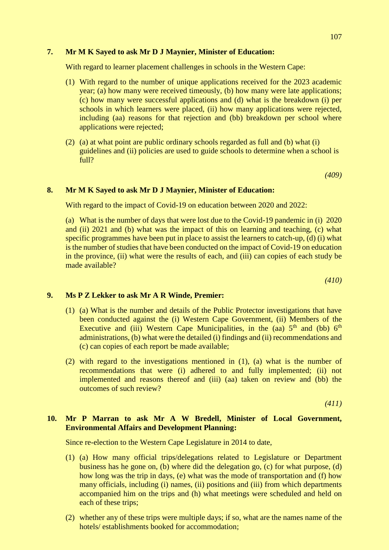#### **7. Mr M K Sayed to ask Mr D J Maynier, Minister of Education:**

With regard to learner placement challenges in schools in the Western Cape:

- (1) With regard to the number of unique applications received for the 2023 academic year; (a) how many were received timeously, (b) how many were late applications; (c) how many were successful applications and (d) what is the breakdown (i) per schools in which learners were placed, (ii) how many applications were rejected, including (aa) reasons for that rejection and (bb) breakdown per school where applications were rejected;
- (2) (a) at what point are public ordinary schools regarded as full and (b) what (i) guidelines and (ii) policies are used to guide schools to determine when a school is full?

*(409)*

#### **8. Mr M K Sayed to ask Mr D J Maynier, Minister of Education:**

With regard to the impact of Covid-19 on education between 2020 and 2022:

(a) What is the number of days that were lost due to the Covid-19 pandemic in (i) 2020 and (ii) 2021 and (b) what was the impact of this on learning and teaching, (c) what specific programmes have been put in place to assist the learners to catch-up, (d) (i) what is the number of studies that have been conducted on the impact of Covid-19 on education in the province, (ii) what were the results of each, and (iii) can copies of each study be made available?

*(410)*

#### **9. Ms P Z Lekker to ask Mr A R Winde, Premier:**

- (1) (a) What is the number and details of the Public Protector investigations that have been conducted against the (i) Western Cape Government, (ii) Members of the Executive and (iii) Western Cape Municipalities, in the (aa)  $5<sup>th</sup>$  and (bb)  $6<sup>th</sup>$ administrations, (b) what were the detailed (i) findings and (ii) recommendations and (c) can copies of each report be made available;
- (2) with regard to the investigations mentioned in (1), (a) what is the number of recommendations that were (i) adhered to and fully implemented; (ii) not implemented and reasons thereof and (iii) (aa) taken on review and (bb) the outcomes of such review?

*(411)*

#### **10. Mr P Marran to ask Mr A W Bredell, Minister of Local Government, Environmental Affairs and Development Planning:**

Since re-election to the Western Cape Legislature in 2014 to date,

- (1) (a) How many official trips/delegations related to Legislature or Department business has he gone on, (b) where did the delegation go, (c) for what purpose, (d) how long was the trip in days, (e) what was the mode of transportation and (f) how many officials, including (i) names, (ii) positions and (iii) from which departments accompanied him on the trips and (h) what meetings were scheduled and held on each of these trips;
- (2) whether any of these trips were multiple days; if so, what are the names name of the hotels/ establishments booked for accommodation;